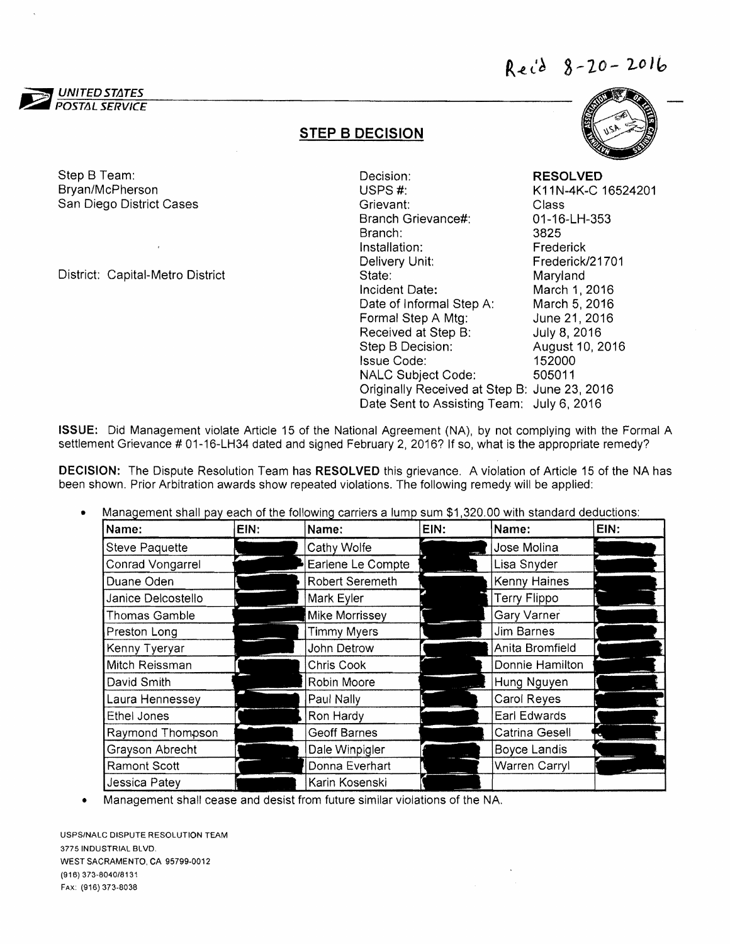

## STEP B DECISION

Step B Team: Bryan/McPherson San Diego District Cases

District: Capital-Metro District

Decision: **RESOLVED**<br>USPS #: **RESOLVED**<br>K11N-4K-C K11N-4K-C 16524201 Grievant: Class Branch Grievance#: 01-16-LH-353 Branch: 3825 Installation: Frederick Delivery Unit: Frederick/21701 State: Maryland Incident Date: March 1,2016 Date of Informal Step A: March 5, 2016 Formal Step A Mtg: June 21, 2016 Received at Step B: July 8, 2016 Step B Decision: August 10, 2016 Issue Code: 152000 NALC Subject Code: 505011 Originally Received at Step B: June 23, 2016 Date Sent to Assisting Team: July 6, 2016



DECISION: The Dispute Resolution Team has RESOLVED this grievance. A violation of Article 15 of the NA has been shown. Prior Arbitration awards show repeated violations. The following remedy will be applied:

Management shall pay each of the following carriers a lump sum \$1,320.00 with standard deductions: •

| Name:                 | EIN: | Name:               | EIN: | Name:                | EIN: |
|-----------------------|------|---------------------|------|----------------------|------|
| <b>Steve Paquette</b> |      | Cathy Wolfe         |      | Jose Molina          |      |
| Conrad Vongarrel      |      | Earlene Le Compte   |      | Lisa Snyder          |      |
| Duane Oden            |      | Robert Seremeth     |      | Kenny Haines         |      |
| Janice Delcostello    |      | Mark Eyler          |      | <b>Terry Flippo</b>  |      |
| Thomas Gamble         |      | Mike Morrissey      |      | <b>Gary Varner</b>   |      |
| Preston Long          |      | <b>Timmy Myers</b>  |      | Jim Barnes           |      |
| Kenny Tyeryar         |      | John Detrow         |      | Anita Bromfield      |      |
| Mitch Reissman        |      | Chris Cook          |      | Donnie Hamilton      |      |
| David Smith           |      | Robin Moore         |      | Hung Nguyen          |      |
| Laura Hennessey       |      | Paul Nally          |      | Carol Reyes          |      |
| Ethel Jones           |      | Ron Hardy           |      | Earl Edwards         |      |
| Raymond Thompson      |      | <b>Geoff Barnes</b> |      | Catrina Gesell       |      |
| Grayson Abrecht       |      | Dale Winpigler      |      | <b>Boyce Landis</b>  |      |
| Ramont Scott          |      | Donna Everhart      |      | <b>Warren Carryl</b> |      |
| Jessica Patey         |      | Karin Kosenski      |      |                      |      |

• Management shall cease and desist from future similar violations of the NA.

USPS/NALC DISPUTE RESOLUTION TEAM 3775 INDUSTRIAL BLVD. WEST SACRAMENTO, CA 95799·0012 (916) 373-8040/8131 FAX: (916) 373-8038

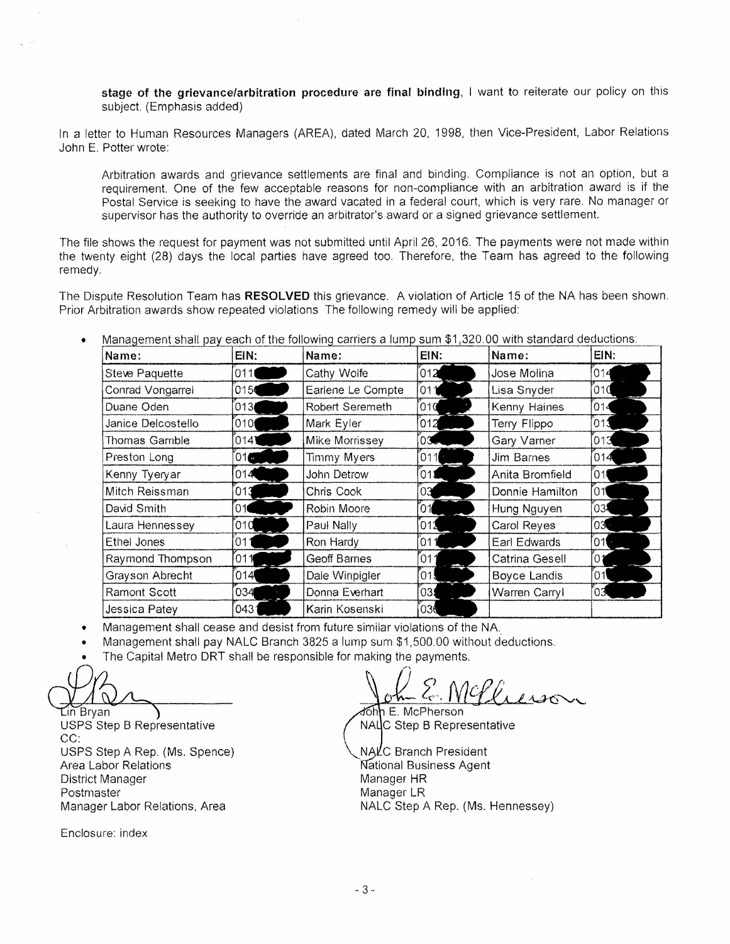stage of the grievance/arbitration procedure are final binding, I want to reiterate our policy on this subject. (Emphasis added)

In a letter to Human Resources Managers (AREA), dated March 20, 1998, then Vice-President, Labor Relations John E. Potter wrote:

Arbitration awards and grievance settlements are final and binding. Compliance is not an option. but a requirement. One of the few acceptable reasons for non-compliance with an arbitration award is if the Postal Service is seeking to have the award vacated in a federal court, which is very rare. No manager or supervisor has the authority to override an arbitrator's award or a signed grievance settlement.

The file shows the request for payment was not submitted until April 26, 2016. The payments were not made within the twenty eight (28) days the local parties have agreed too. Therefore, the Team has agreed to the following remedy.

The Dispute Resolution Team has RESOLVED this grievance. A violation of Article 15 of the NA has been shown. Prior Arbitration awards show repeated violations The following remedy will be applied:

Management shall pay each of the following carriers a lump sum \$1,320.00 with standard deductions: •

| Name:                 | EIN:  | Name:              | EIN:    | Name:               | EIN: |
|-----------------------|-------|--------------------|---------|---------------------|------|
| <b>Steve Paquette</b> | 011   | Cathy Wolfe        | 012     | Jose Molina         | 014  |
| Conrad Vongarrel      | 015   | Earlene Le Compte  | 011     | Lisa Snyder         | 010  |
| Duane Oden            | 013   | Robert Seremeth    | 010     | Kenny Haines        | 014  |
| Janice Delcostello    | [010] | Mark Eyler         | 012     | Terry Flippo        | 013  |
| Thomas Gamble         | 014   | Mike Morrissey     | $_{03}$ | Gary Varner         | 013  |
| Preston Long          | 01    | <b>Timmy Myers</b> | 011     | Jim Barnes          | 014  |
| Kenny Tyeryar         | 014   | John Detrow        | 011     | Anita Bromfield     | 011  |
| Mitch Reissman        | 013   | Chris Cook         | 03      | Donnie Hamilton     | 011  |
| David Smith           | 01    | Robin Moore        | 01      | Hung Nguyen         | 03.  |
| Laura Hennessey       | 010   | Paul Nally         | 012     | Carol Reyes         | 03   |
| Ethel Jones           | 011   | Ron Hardy          | 011     | Earl Edwards        | 01   |
| Raymond Thompson      | 011   | Geoff Barnes       | ั011    | Catrina Gesell      | '0   |
| Grayson Abrecht       | 014   | Dale Winpigler     | [01.    | <b>Boyce Landis</b> | ์01  |
| Ramont Scott          | 034   | Donna Everhart     | 03.     | Warren Carryl       | 03   |
| Jessica Patey         | 0431  | Karin Kosenski     | 036     |                     |      |

- Management shall cease and desist from future similar violations of the NA,.
- Management shall pay NALC Branch 3825 a lump sum \$1,500.00 without deductions.
- The Capital Metro DRT shall be responsible for making the payments.

 $\mathop{\mathsf{Lin}}\nolimits^{\!\!\sim}$ Brvan  $\mathop{\mathsf{In}}\nolimits$ USPS Step B Representative CC:

USPS Step A Rep. (Ms. Spence) Area Labor Relations **The Contract Contract Contract Contract Contract Contract Contract Contract Contract Contract Contract Contract Contract Contract Contract Contract Contract Contract Contract Contract Contract Contrac** District Manager Manager Manager HR Postmaster Manager LR

Enclosure: index

~~.,~p~z:-*..* ~~,y-~'-.. John E. McPherson

NALC Step B Representative

Manager Labor Relations, Area NALC Step A Rep. (Ms. Hennessey) NALC Branch President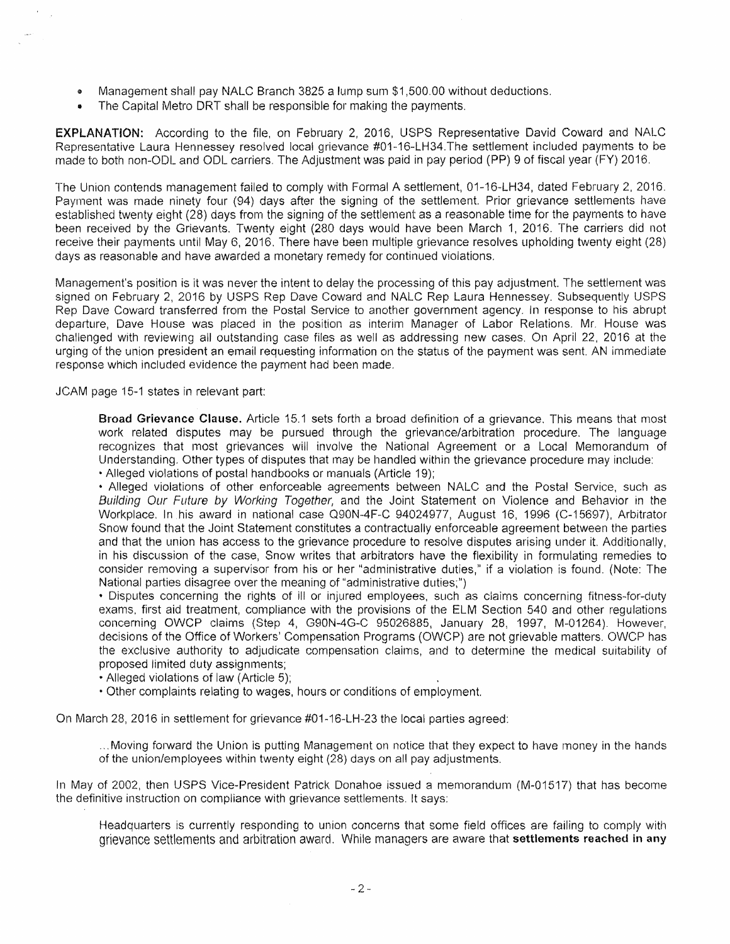- Management shall pay NALC Branch 3825 a lump sum \$1,500.00 without deductions.
- The Capital Metro DRT shall be responsible for making the payments.

EXPLANATION: According to the file, on February 2, 2016, USPS Representative David Coward and NALC Representative Laura Hennessey resolved local grievance #01-16-LH34.The settlement included payments to be made to both non-ODL and ODL carriers. The Adjustment was paid in pay period (PP) 9 of fiscal year (FY) 2016.

The Union contends management failed to comply with Formal A settlement, 01-16-LH34, dated February 2.2016. Payrnent was made ninety four (94) days after the signing of the settlement. Prior grievance settlements have established twenty eight (28) days from the signing of the settlement as a reasonable time for the payments to have been received by the Grievants. Twenty eight (280 days would have been March 1, 2016. The carriers did not receive their payments until May 6, 2016. There have been multiple grievance resolves upholding twenty eight (28) days as reasonable and have awarded a monetary remedy for continued violations.

Management's position is it was never the intent to delay the processing of this pay adjustment. The settlement was signed on February 2, 2016 by USPS Rep Dave Coward and NALC Rep Laura Hennessey. Subsequently USPS Rep Dave Coward transferred from the Postal Service to another government agency. In response to his abrupt departure, Dave House was placed in the position as interim Manager of Labor Relations. Mr, House was challenged with reviewing all outstanding case files as well as addressing new cases. On April 22, 2016 at the urging of the union president an email requesting information on the status of the payment was sent. AN immediate response which included evidence the payment had been made.

JCAM page 15-1 states in relevant part:

Broad Grievance Clause. Article 15.1 sets forth a broad definition of a grievance. This means that most work related disputes may be pursued through the grievance/arbitration procedure. The language recognizes that most grievances will involve the National Agreement or a Local Memorandum of Understanding. Other types of disputes that may be handled within the grievance procedure may include: • Alleged violations of postal handbooks or manuals (Article 19);

• Alleged violations of other enforceable agreements between NALC and the Postal Service, such as Buifding Our Future by Working Together, and the Joint Statement on Violence and Behavior in the Workplace. In his award in national case Q90N-4F-C 94024977, August 16, 1996 (C-15697), Arbitrator Snow found that the Joint Statement constitutes a contractually enforceable agreement between the parties and that the union has access to the grievance procedure to resolve disputes arising under it. Additionally, in his discussion of the case, Snow writes that arbitrators have the flexibility in formulating remedies to consider removing a supervisor from his or her "administrative duties'" if a violation is found. (Note: The National parties disagree over the meaning of "administrative duties;")

• Disputes concerning the rights of ill or injured employees, such as claims concerning fitness-for-duty exams, first aid treatment, compliance with the provisions of the ELM Section 540 and other regulations concerning OWCP claims (Step 4, G90N-4G-C 95026885, January 28, 1997, M-01264). However, decisions of the Office of Workers' Compensation Programs (OWCP) are not grievable matters. OWCP has the exclusive authority to adjudicate compensation claims, and to determine the medical suitability of proposed limited duty assignments;

- Alleged violations of law (Article 5);
- Other complaints relating to wages. hours or conditions of employment.

On March 28,2016 in settlement for grievance #01-16-LH-23 the local parties agreed:

... Moving forward the Union is putting Management on notice that they expect to have money in the hands of the union/employees within twenty eight (28) days on all pay adjustments.

In May of 2002, then USPS Vice-President Patrick Donahoe issued a memorandum (M-01517) that has become the definitive instruction on compliance with grievance settlements. It says:

Headquarters is currently responding to union concerns that some field offices are failing to comply with grievance settlements and arbitration award. While managers are aware that settlements reached in any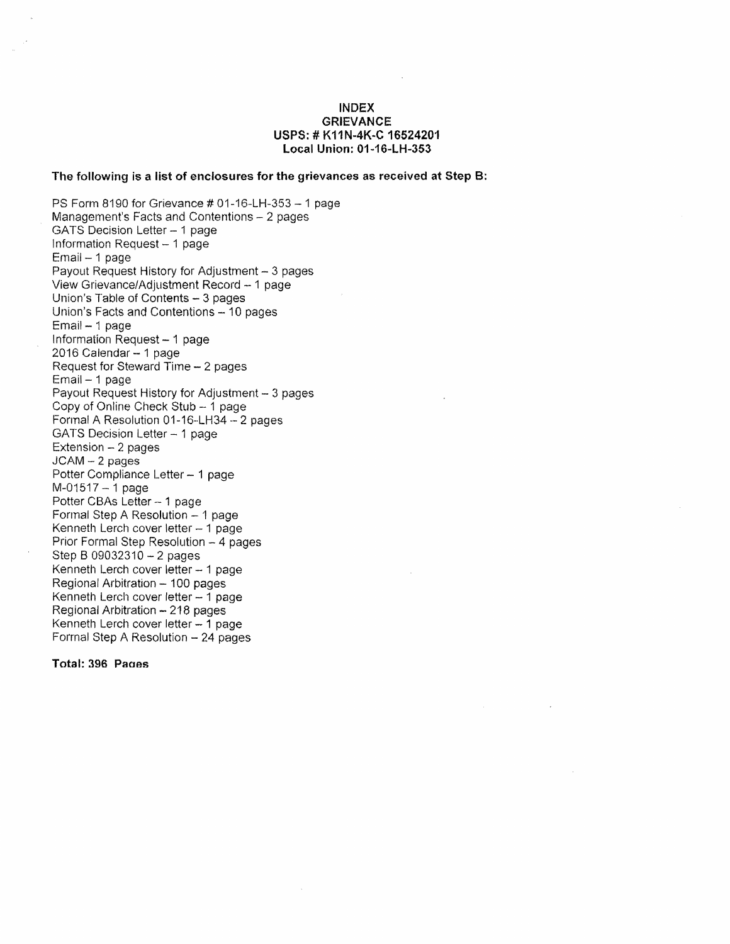#### **INDEX GRIEVANCE USPS: # K11N-4K-C 16524201 local Union: 01-16-lH-353**

#### **The following is a list of enclosures for the grievances as received at Step B:**

PS Form 8190 for Grievance # 01-16-LH-353 -1 page Management's Facts and Contentions - 2 pages GATS Decision Letter - 1 page Information Request - 1 page Email - 1 page Payout Request History for Adjustment - 3 pages View Grievance/Adjustment Record - 1 page Union's Table of Contents - 3 pages Union's Facts and Contentions - 10 pages Email- 1 page Information Request  $-1$  page 2016 Calendar - 1 page Request for Steward Time - 2 pages Email - 1 page Payout Request History for Adjustment - 3 pages Copy of Online Check Stub - 1 page Formal A Resolution 01-16··LH34·- 2 pages GATS Decision Letter - 1 page  $Extension - 2 pages$ JCAM - 2 pages Potter Compliance Letter - 1 page M-01517 - 1 page Potter CBAs Letter - 1 page Formal Step A Resolution - 1 page Kenneth Lerch cover letter  $-1$  page Prior Formal Step Resolution - 4 pages Step B 09032310 - 2 pages Kenneth Lerch cover letter - 1 page Regional Arbitration - 100 pages Kenneth Lerch cover letter  $-1$  page Regional Arbitration - 218 pages Kenneth Lerch cover letter  $-1$  page Formal Step A Resolution - 24 pages

**Total: 396 Panes**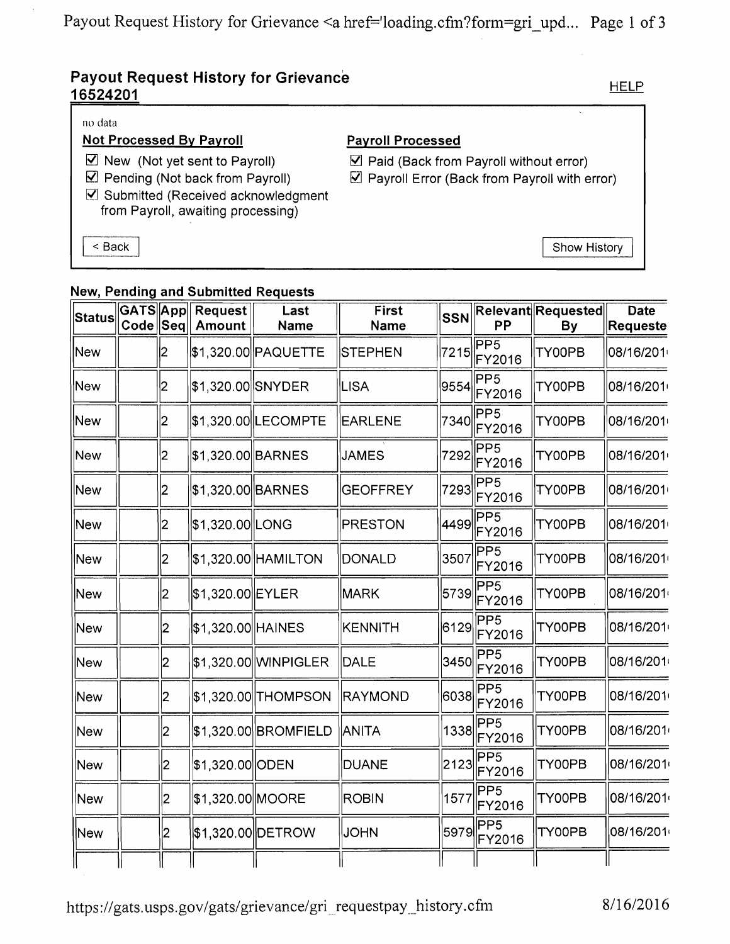# **Payout Request History for Grievance** 16524201

### no data

### **Not Processed By Payroll**

- $\triangledown$  New (Not yet sent to Payroll)
- $\boxtimes$  Pending (Not back from Payroll)
- ☑ Submitted (Received acknowledgment from Payroll, awaiting processing)

< Back

## **Payroll Processed**

Paid (Back from Payroll without error)

 $\triangledown$  Payroll Error (Back from Payroll with error)

Show History

### **New, Pending and Submitted Requests**

| <b>Status</b> | GATS App<br>Code  Seq |                         | <b>Request</b><br><b>Amount</b> | Last<br><b>Name</b>  | <b>First</b><br>Name | <b>SSN</b> | PP                        | <b>Relevant Requested</b><br>By | <b>Date</b><br>Requeste |
|---------------|-----------------------|-------------------------|---------------------------------|----------------------|----------------------|------------|---------------------------|---------------------------------|-------------------------|
| New           |                       | 2                       |                                 | \$1,320.00 PAQUETTE  | <b>STEPHEN</b>       | 7215       | PP <sub>5</sub><br>FY2016 | TY00PB                          | 08/16/201               |
| New           |                       | 2                       | \$1,320.00 SNYDER               |                      | LISA                 | 9554       | PP5<br>FY2016             | TY00PB                          | 08/16/201               |
| New           |                       | 2                       |                                 | \$1,320.00 LECOMPTE  | <b>EARLENE</b>       | 7340       | PP <sub>5</sub><br>FY2016 | TY00PB                          | 08/16/201               |
| New           |                       | 2                       | \$1,320.00 BARNES               |                      | <b>JAMES</b>         | 7292       | PP5<br>FY2016             | TY00PB                          | 08/16/201               |
| <b>New</b>    |                       | $\overline{2}$          | \$1,320.00 BARNES               |                      | <b>GEOFFREY</b>      | 7293       | PP5<br>FY2016             | TY00PB                          | 08/16/201               |
| New           |                       | $\overline{\mathbf{2}}$ | \$1,320.00 LONG                 |                      | <b>PRESTON</b>       | 4499       | PP5<br>FY2016             | TY00PB                          | 08/16/201               |
| New           |                       | 2                       |                                 | \$1,320.00 HAMILTON  | DONALD               | 3507       | PP <sub>5</sub><br>FY2016 | TY00PB                          | 08/16/201               |
| New           |                       | 2                       | \$1,320.00 EYLER                |                      | MARK                 | 5739       | PP <sub>5</sub><br>FY2016 | TY00PB                          | 08/16/201               |
| New           |                       | 2                       | \$1,320.00 HAINES               |                      | <b>KENNITH</b>       | 6129       | PP5<br>FY2016             | TY00PB                          | 08/16/201               |
| New           |                       | 2                       |                                 | \$1,320.00 WINPIGLER | <b>DALE</b>          | 3450       | PP <sub>5</sub><br>FY2016 | TY00PB                          | 08/16/201               |
| <b>New</b>    |                       | 2                       |                                 | \$1,320.00 THOMPSON  | RAYMOND              | 6038       | PP <sub>5</sub><br>FY2016 | TY00PB                          | 08/16/201               |
| <b>New</b>    |                       | 2                       |                                 | \$1,320.00 BROMFIELD | ANITA                | 1338       | PP <sub>5</sub><br>FY2016 | TY00PB                          | 08/16/201               |
| New           |                       | 2                       | \$1,320.00 ODEN                 |                      | <b>DUANE</b>         | 2123       | PP5<br>FY2016             | TY00PB                          | 08/16/201               |
| New           |                       | 2                       | \$1,320.00 MOORE                |                      | <b>ROBIN</b>         | 1577       | PP5<br>FY2016             | TY00PB                          | 08/16/201               |
| New           |                       | 2                       |                                 | \$1,320.00 DETROW    | <b>JOHN</b>          | 5979       | PP5<br>FY2016             | TY00PB                          | 08/16/201               |
|               |                       |                         |                                 |                      |                      |            |                           |                                 |                         |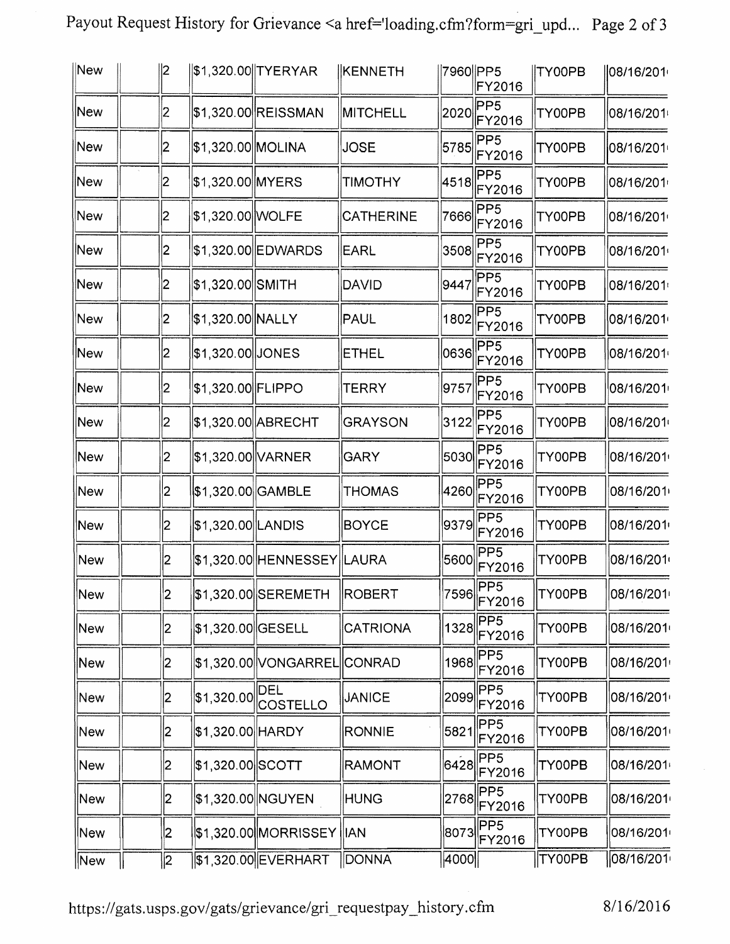| Payout Request History for Grievance <a href='loading.cfm?form=gri_upd Page 2 of 3</td> <td></td> <td></td> |  |  |
|-------------------------------------------------------------------------------------------------------------|--|--|

| New        | 12             |                    | \$1,320.00 TYERYAR            | <b>KENNETH</b>   | 7960 PP5 | FY2016                                        | <b>TY00PB</b> | 108/16/201 |
|------------|----------------|--------------------|-------------------------------|------------------|----------|-----------------------------------------------|---------------|------------|
| New        | 2              |                    | \$1,320.00 REISSMAN           | <b>MITCHELL</b>  | 2020     | PP <sub>5</sub><br>FY2016                     | TY00PB        | 08/16/201  |
| New        | 2              | \$1,320.00 MOLINA  |                               | <b>JOSE</b>      | 5785     | PP <sub>5</sub><br>FY2016                     | TY00PB        | 08/16/201⊧ |
| New        | 2              | \$1,320.00 MYERS   |                               | <b>TIMOTHY</b>   | 4518     | PP <sub>5</sub><br>FY2016                     | TY00PB        | 08/16/201  |
| New        | 2              | \$1,320.00 WOLFE   |                               | <b>CATHERINE</b> | 7666     | PP <sub>5</sub><br>FY2016                     | TY00PB        | 08/16/201  |
| New        | 2              |                    | \$1,320.00 EDWARDS            | EARL             | 3508     | PP <sub>5</sub><br>FY2016                     | TY00PB        | 08/16/201  |
| New        | 2              | \$1,320.00 SMITH   |                               | DAVID            | 9447     | PP <sub>5</sub><br>FY2016                     | TY00PB        | 08/16/201  |
| New        | 2              | \$1,320.00 NALLY   |                               | PAUL             | 1802     | PP <sub>5</sub><br>FY2016                     | TY00PB        | 08/16/201  |
| New        | 2              | \$1,320.00 JONES   |                               | <b>ETHEL</b>     | 0636     | PP <sub>5</sub><br>FY2016                     | TY00PB        | 08/16/201  |
| <b>New</b> | 2              | \$1,320.00 FLIPPO  |                               | TERRY            | 9757     | PP <sub>5</sub><br>FY2016                     | TY00PB        | 08/16/201  |
| New        | 2              |                    | \$1,320.00 ABRECHT            | <b>GRAYSON</b>   | 3122     | PP <sub>5</sub><br>FY2016                     | TY00PB        | 08/16/201  |
| New        | 2              | \$1,320.00 VARNER  |                               | <b>GARY</b>      | 5030     | PP <sub>5</sub><br>FY2016                     | TY00PB        | 08/16/201  |
| New        | $\overline{2}$ | \$1,320.00  GAMBLE |                               | <b>THOMAS</b>    | 4260     | PP <sub>5</sub><br>FY2016                     | TY00PB        | 08/16/201  |
| New        | 2              | \$1,320.00 LANDIS  |                               | <b>BOYCE</b>     | 9379     | PP <sub>5</sub><br>FY2016                     | TY00PB        | 08/16/201  |
| New        | 2              |                    | \$1,320.00 HENNESSEY LAURA    |                  | 5600     | PP <sub>5</sub><br>FY2016                     | TY00PB        | 08/16/201  |
| <b>New</b> | 2              |                    | \$1,320.00 SEREMETH           | ROBERT           |          | 7596 PP5<br>FY2016                            | TY00PB        | 08/16/201  |
| New        | 2              | \$1,320.00 GESELL  |                               | <b>CATRIONA</b>  |          | PP <sub>5</sub><br>$1328$ $F\overline{Y}2016$ | TY00PB        | 08/16/201  |
| New        | 2              |                    | \$1,320.00  VONGARREL  CONRAD |                  | 1968     | PP <sub>5</sub><br>FY2016                     | TY00PB        | 08/16/201  |
| New        | 2              | \$1,320.00         | DEL<br>COSTELLO               | <b>JANICE</b>    | 2099     | PP5<br>FY2016                                 | TY00PB        | 08/16/201  |
| New        | 2              | \$1,320.00 HARDY   |                               | <b>RONNIE</b>    | 5821     | PP <sub>5</sub><br>FY2016                     | TY00PB        | 08/16/201  |
| New        | 2              | \$1,320.00 SCOTT   |                               | <b>RAMONT</b>    | 6428     | PP <sub>5</sub><br>FY2016                     | TY00PB        | 08/16/201  |
| New        | 2              |                    | \$1,320.00 NGUYEN             | <b>HUNG</b>      | 2768     | PP <sub>5</sub><br>FY2016                     | TY00PB        | 08/16/201  |
| <b>New</b> | 2              |                    | \$1,320.00  MORRISSEY   IAN   |                  | 8073     | PP5<br>FY2016                                 | TY00PB        | 08/16/201  |
| New        | 2              |                    | \$1,320.00 EVERHART           | <b>DONNA</b>     | 4000     |                                               | TY00PB        | 08/16/201  |